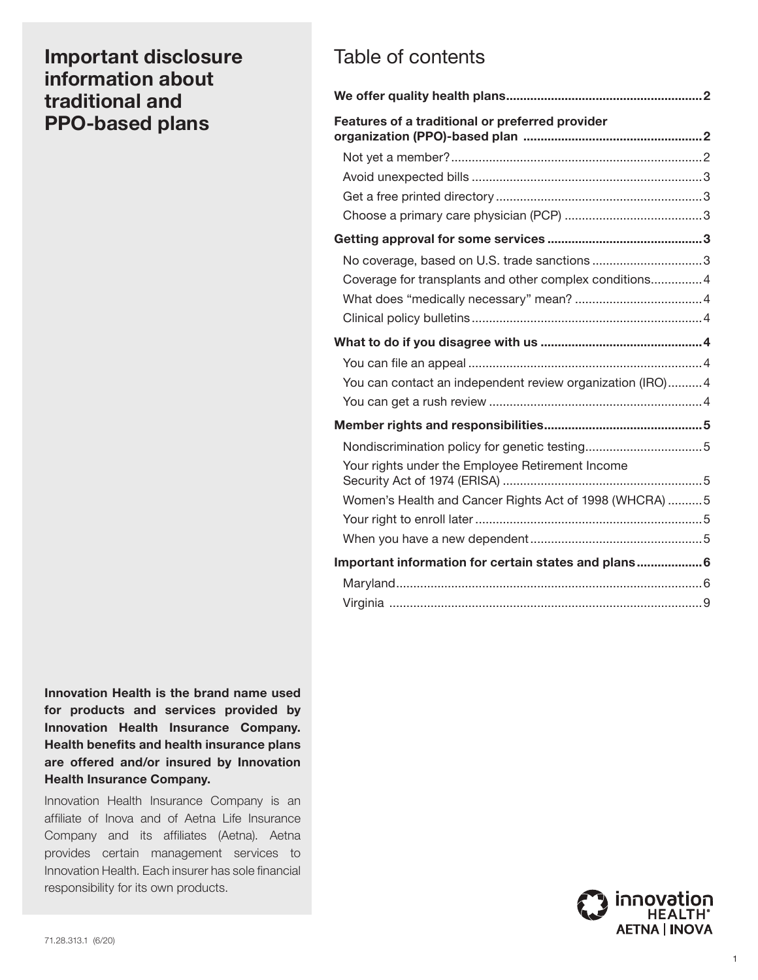# **Important disclosure**  information about **than based plans: traditional and Plan name PPO-based plans**

# Table of contents

| Features of a traditional or preferred provider           |  |
|-----------------------------------------------------------|--|
|                                                           |  |
|                                                           |  |
|                                                           |  |
|                                                           |  |
|                                                           |  |
| No coverage, based on U.S. trade sanctions 3              |  |
| Coverage for transplants and other complex conditions 4   |  |
|                                                           |  |
|                                                           |  |
|                                                           |  |
|                                                           |  |
| You can contact an independent review organization (IRO)4 |  |
|                                                           |  |
|                                                           |  |
|                                                           |  |
| Your rights under the Employee Retirement Income          |  |
| Women's Health and Cancer Rights Act of 1998 (WHCRA)  5   |  |
|                                                           |  |
|                                                           |  |
| Important information for certain states and plans 6      |  |
|                                                           |  |
|                                                           |  |

**Innovation Health is the brand name used for products and services provided by Innovation Health Insurance Company. Health benefits and health insurance plans are offered and/or insured by Innovation Health Insurance Company.** 

Innovation Health Insurance Company is an affiliate of Inova and of Aetna Life Insurance Company and its affiliates (Aetna). Aetna provides certain management services to Innovation Health. Each insurer has sole financial responsibility for its own products.

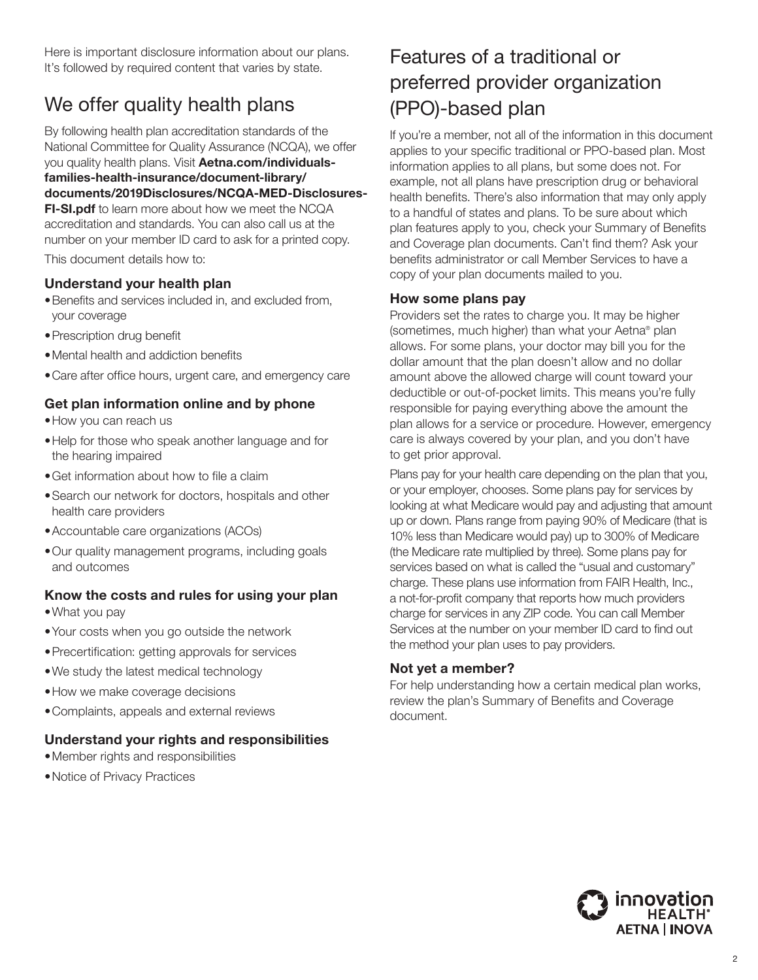<span id="page-1-0"></span>Here is important disclosure information about our plans. It's followed by required content that varies by state.

# We offer quality health plans

By following health plan accreditation standards of the National Committee for Quality Assurance (NCQA), we offer you quality health plans. Visit **[Aetna.com/individuals](http://www.aetna.com/individuals-families-health-insurance/document-library/documents/2019Disclosures/NCQA-MED-Disclosures-FI-SI.pdf)[families-health-insurance/document-library/](http://www.aetna.com/individuals-families-health-insurance/document-library/documents/2019Disclosures/NCQA-MED-Disclosures-FI-SI.pdf) [documents/2019Disclosures/NCQA-MED-Disclosures-](http://www.aetna.com/individuals-families-health-insurance/document-library/documents/2019Disclosures/NCQA-MED-Disclosures-FI-SI.pdf)[FI-SI.pdf](http://www.aetna.com/individuals-families-health-insurance/document-library/documents/2019Disclosures/NCQA-MED-Disclosures-FI-SI.pdf)** to learn more about how we meet the NCQA accreditation and standards. You can also call us at the number on your member ID card to ask for a printed copy. This document details how to:

#### **Understand your health plan**

- •Benefits and services included in, and excluded from, your coverage
- •Prescription drug benefit
- •Mental health and addiction benefits
- •Care after office hours, urgent care, and emergency care

#### **Get plan information online and by phone**

- How you can reach us
- Help for those who speak another language and for the hearing impaired
- Get information about how to file a claim
- Search our network for doctors, hospitals and other health care providers
- •Accountable care organizations (ACOs)
- •Our quality management programs, including goals and outcomes

#### **Know the costs and rules for using your plan**

- What you pay
- Your costs when you go outside the network
- •Precertification: getting approvals for services
- •We study the latest medical technology
- How we make coverage decisions
- Complaints, appeals and external reviews

#### **Understand your rights and responsibilities**

- •Member rights and responsibilities
- Notice of Privacy Practices

# Features of a traditional or preferred provider organization (PPO)-based plan

If you're a member, not all of the information in this document applies to your specific traditional or PPO-based plan. Most information applies to all plans, but some does not. For example, not all plans have prescription drug or behavioral health benefits. There's also information that may only apply to a handful of states and plans. To be sure about which plan features apply to you, check your Summary of Benefits and Coverage plan documents. Can't find them? Ask your benefits administrator or call Member Services to have a copy of your plan documents mailed to you.

#### **How some plans pay**

Providers set the rates to charge you. It may be higher (sometimes, much higher) than what your Aetna® plan allows. For some plans, your doctor may bill you for the dollar amount that the plan doesn't allow and no dollar amount above the allowed charge will count toward your deductible or out-of-pocket limits. This means you're fully responsible for paying everything above the amount the plan allows for a service or procedure. However, emergency care is always covered by your plan, and you don't have to get prior approval.

Plans pay for your health care depending on the plan that you, or your employer, chooses. Some plans pay for services by looking at what Medicare would pay and adjusting that amount up or down. Plans range from paying 90% of Medicare (that is 10% less than Medicare would pay) up to 300% of Medicare (the Medicare rate multiplied by three). Some plans pay for services based on what is called the "usual and customary" charge. These plans use information from FAIR Health, Inc., a not-for-profit company that reports how much providers charge for services in any ZIP code. You can call Member Services at the number on your member ID card to find out the method your plan uses to pay providers.

#### **Not yet a member?**

For help understanding how a certain medical plan works, review the plan's Summary of Benefits and Coverage document.

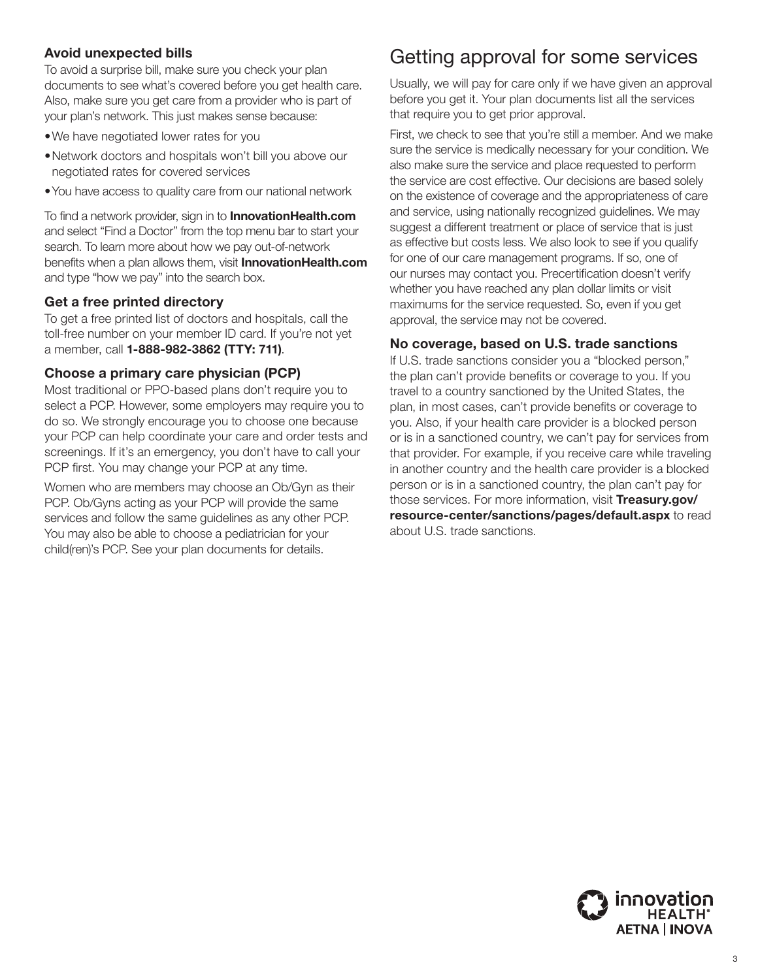## <span id="page-2-0"></span>**Avoid unexpected bills**

To avoid a surprise bill, make sure you check your plan documents to see what's covered before you get health care. Also, make sure you get care from a provider who is part of your plan's network. This just makes sense because:

- We have negotiated lower rates for you
- Network doctors and hospitals won't bill you above our negotiated rates for covered services
- •You have access to quality care from our national network

To find a network provider, sign in to **[InnovationHealth.com](http://InnovationHealth.com)** and select "Find a Doctor" from the top menu bar to start your search. To learn more about how we pay out-of-network benefits when a plan allows them, visit **[InnovationHealth.com](http://InnovationHealth.com)** and type "how we pay" into the search box.

#### **Get a free printed directory**

To get a free printed list of doctors and hospitals, call the toll-free number on your member ID card. If you're not yet a member, call **1-888-982-3862 (TTY: 711)**.

#### **Choose a primary care physician (PCP)**

Most traditional or PPO-based plans don't require you to select a PCP. However, some employers may require you to do so. We strongly encourage you to choose one because your PCP can help coordinate your care and order tests and screenings. If it's an emergency, you don't have to call your PCP first. You may change your PCP at any time.

Women who are members may choose an Ob/Gyn as their PCP. Ob/Gyns acting as your PCP will provide the same services and follow the same guidelines as any other PCP. You may also be able to choose a pediatrician for your child(ren)'s PCP. See your plan documents for details.

# Getting approval for some services

Usually, we will pay for care only if we have given an approval before you get it. Your plan documents list all the services that require you to get prior approval.

First, we check to see that you're still a member. And we make sure the service is medically necessary for your condition. We also make sure the service and place requested to perform the service are cost effective. Our decisions are based solely on the existence of coverage and the appropriateness of care and service, using nationally recognized guidelines. We may suggest a different treatment or place of service that is just as effective but costs less. We also look to see if you qualify for one of our care management programs. If so, one of our nurses may contact you. Precertification doesn't verify whether you have reached any plan dollar limits or visit maximums for the service requested. So, even if you get approval, the service may not be covered.

#### **No coverage, based on U.S. trade sanctions**

If U.S. trade sanctions consider you a "blocked person," the plan can't provide benefits or coverage to you. If you travel to a country sanctioned by the United States, the plan, in most cases, can't provide benefits or coverage to you. Also, if your health care provider is a blocked person or is in a sanctioned country, we can't pay for services from that provider. For example, if you receive care while traveling in another country and the health care provider is a blocked person or is in a sanctioned country, the plan can't pay for those services. For more information, visit **[Treasury.gov/](https://www.treasury.gov/resource-center/sanctions/pages/default.aspx) [resource-center/sanctions/pages/default.aspx](https://www.treasury.gov/resource-center/sanctions/pages/default.aspx)** to read about U.S. trade sanctions.

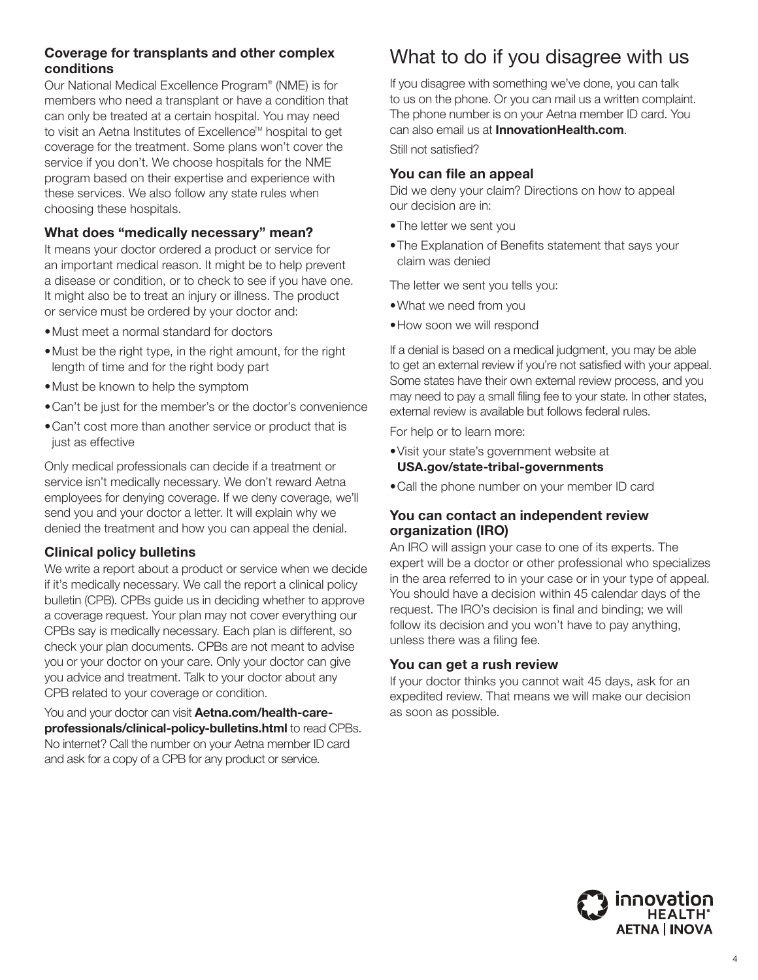### <span id="page-3-0"></span>**Coverage for transplants and other complex conditions**

Our National Medical Excellence Program® (NME) is for members who need a transplant or have a condition that can only be treated at a certain hospital. You may need to visit an Aetna Institutes of Excellence™ hospital to get coverage for the treatment. Some plans won't cover the service if you don't. We choose hospitals for the NME program based on their expertise and experience with these services. We also follow any state rules when choosing these hospitals.

## **What does "medically necessary" mean?**

It means your doctor ordered a product or service for an important medical reason. It might be to help prevent a disease or condition, or to check to see if you have one. It might also be to treat an injury or illness. The product or service must be ordered by your doctor and:

- Must meet a normal standard for doctors
- Must be the right type, in the right amount, for the right length of time and for the right body part
- Must be known to help the symptom
- Can't be just for the member's or the doctor's convenience
- Can't cost more than another service or product that is just as effective

Only medical professionals can decide if a treatment or service isn't medically necessary. We don't reward Aetna employees for denying coverage. If we deny coverage, we'll send you and your doctor a letter. It will explain why we denied the treatment and how you can appeal the denial.

## **Clinical policy bulletins**

We write a report about a product or service when we decide if it's medically necessary. We call the report a clinical policy bulletin (CPB). CPBs guide us in deciding whether to approve a coverage request. Your plan may not cover everything our CPBs say is medically necessary. Each plan is different, so check your plan documents. CPBs are not meant to advise you or your doctor on your care. Only your doctor can give you advice and treatment. Talk to your doctor about any CPB related to your coverage or condition.

You and your doctor can visit **[Aetna.com/health-care](http://www.Aetna.com/health-care-professionals/clinical-policy-bulletins.html)[professionals/clinical-policy-bulletins.html](http://www.Aetna.com/health-care-professionals/clinical-policy-bulletins.html)** to read CPBs. No internet? Call the number on your Aetna member ID card and ask for a copy of a CPB for any product or service.

# What to do if you disagree with us

If you disagree with something we've done, you can talk to us on the phone. Or you can mail us a written complaint. The phone number is on your Aetna member ID card. You can also email us at **[InnovationHealth.com](http://InnovationHealth.com)**.

Still not satisfied?

## **You can file an appeal**

Did we deny your claim? Directions on how to appeal our decision are in:

- The letter we sent you
- The Explanation of Benefits statement that says your claim was denied

The letter we sent you tells you:

- What we need from you
- How soon we will respond

If a denial is based on a medical judgment, you may be able to get an external review if you're not satisfied with your appeal. Some states have their own external review process, and you may need to pay a small filing fee to your state. In other states, external review is available but follows federal rules.

For help or to learn more:

- Visit your state's government website at **[USA.gov/state-tribal-governments](http://www.USA.gov/state-tribal-governments)**
- Call the phone number on your member ID card

### **You can contact an independent review organization (IRO)**

An IRO will assign your case to one of its experts. The expert will be a doctor or other professional who specializes in the area referred to in your case or in your type of appeal. You should have a decision within 45 calendar days of the request. The IRO's decision is final and binding; we will follow its decision and you won't have to pay anything, unless there was a filing fee.

#### **You can get a rush review**

If your doctor thinks you cannot wait 45 days, ask for an expedited review. That means we will make our decision as soon as possible.

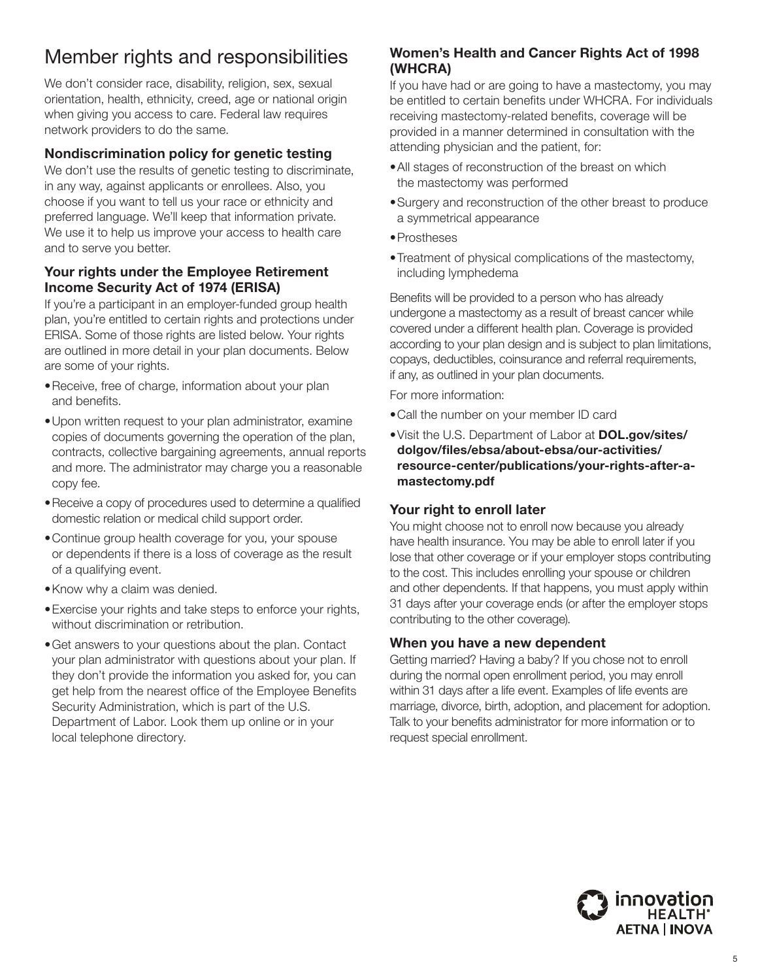# <span id="page-4-0"></span>Member rights and responsibilities

We don't consider race, disability, religion, sex, sexual orientation, health, ethnicity, creed, age or national origin when giving you access to care. Federal law requires network providers to do the same.

# **Nondiscrimination policy for genetic testing**

We don't use the results of genetic testing to discriminate, in any way, against applicants or enrollees. Also, you choose if you want to tell us your race or ethnicity and preferred language. We'll keep that information private. We use it to help us improve your access to health care and to serve you better.

## **Your rights under the Employee Retirement Income Security Act of 1974 (ERISA)**

If you're a participant in an employer-funded group health plan, you're entitled to certain rights and protections under ERISA. Some of those rights are listed below. Your rights are outlined in more detail in your plan documents. Below are some of your rights.

- Receive, free of charge, information about your plan and benefits.
- •Upon written request to your plan administrator, examine copies of documents governing the operation of the plan, contracts, collective bargaining agreements, annual reports and more. The administrator may charge you a reasonable copy fee.
- •Receive a copy of procedures used to determine a qualified domestic relation or medical child support order.
- •Continue group health coverage for you, your spouse or dependents if there is a loss of coverage as the result of a qualifying event.
- •Know why a claim was denied.
- Exercise your rights and take steps to enforce your rights, without discrimination or retribution.
- Get answers to your questions about the plan. Contact your plan administrator with questions about your plan. If they don't provide the information you asked for, you can get help from the nearest office of the Employee Benefits Security Administration, which is part of the U.S. Department of Labor. Look them up online or in your local telephone directory.

# **Women's Health and Cancer Rights Act of 1998 (WHCRA)**

If you have had or are going to have a mastectomy, you may be entitled to certain benefits under WHCRA. For individuals receiving mastectomy-related benefits, coverage will be provided in a manner determined in consultation with the attending physician and the patient, for:

- •All stages of reconstruction of the breast on which the mastectomy was performed
- Surgery and reconstruction of the other breast to produce a symmetrical appearance
- •Prostheses
- •Treatment of physical complications of the mastectomy, including lymphedema

Benefits will be provided to a person who has already undergone a mastectomy as a result of breast cancer while covered under a different health plan. Coverage is provided according to your plan design and is subject to plan limitations, copays, deductibles, coinsurance and referral requirements, if any, as outlined in your plan documents.

For more information:

- Call the number on your member ID card
- Visit the U.S. Department of Labor at **[DOL.gov/sites/](https://www.dol.gov/sites/dolgov/files/ebsa/about-ebsa/our-activities/resource-center/publications/your-rights-after-a-mastectomy.pdf) [dolgov/files/ebsa/about-ebsa/our-activities/](https://www.dol.gov/sites/dolgov/files/ebsa/about-ebsa/our-activities/resource-center/publications/your-rights-after-a-mastectomy.pdf) [resource-center/publications/your-rights-after-a](https://www.dol.gov/sites/dolgov/files/ebsa/about-ebsa/our-activities/resource-center/publications/your-rights-after-a-mastectomy.pdf)[mastectomy.pdf](https://www.dol.gov/sites/dolgov/files/ebsa/about-ebsa/our-activities/resource-center/publications/your-rights-after-a-mastectomy.pdf)**

## **Your right to enroll later**

You might choose not to enroll now because you already have health insurance. You may be able to enroll later if you lose that other coverage or if your employer stops contributing to the cost. This includes enrolling your spouse or children and other dependents. If that happens, you must apply within 31 days after your coverage ends (or after the employer stops contributing to the other coverage).

## **When you have a new dependent**

Getting married? Having a baby? If you chose not to enroll during the normal open enrollment period, you may enroll within 31 days after a life event. Examples of life events are marriage, divorce, birth, adoption, and placement for adoption. Talk to your benefits administrator for more information or to request special enrollment.

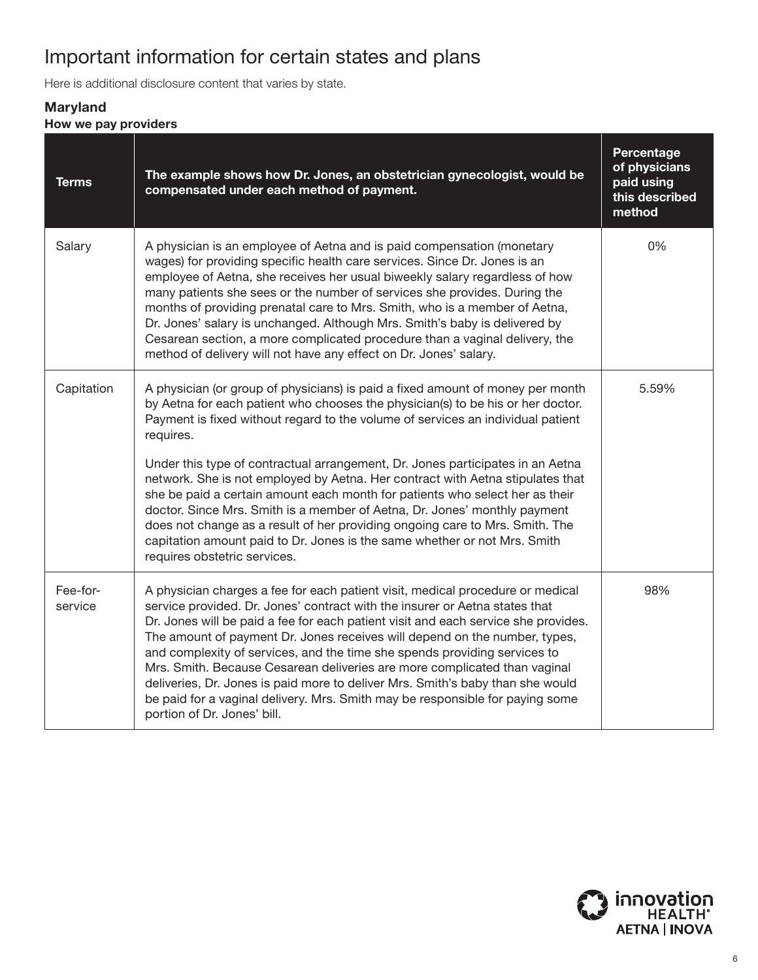# <span id="page-5-0"></span>Important information for certain states and plans

Here is additional disclosure content that varies by state.

# **Maryland**

**How we pay providers**

| <b>Terms</b>        | The example shows how Dr. Jones, an obstetrician gynecologist, would be<br>compensated under each method of payment.                                                                                                                                                                                                                                                                                                                                                                                                                                                                                                                                                                                                                                                                            | Percentage<br>of physicians<br>paid using<br>this described<br>method |
|---------------------|-------------------------------------------------------------------------------------------------------------------------------------------------------------------------------------------------------------------------------------------------------------------------------------------------------------------------------------------------------------------------------------------------------------------------------------------------------------------------------------------------------------------------------------------------------------------------------------------------------------------------------------------------------------------------------------------------------------------------------------------------------------------------------------------------|-----------------------------------------------------------------------|
| Salary              | A physician is an employee of Aetna and is paid compensation (monetary<br>wages) for providing specific health care services. Since Dr. Jones is an<br>employee of Aetna, she receives her usual biweekly salary regardless of how<br>many patients she sees or the number of services she provides. During the<br>months of providing prenatal care to Mrs. Smith, who is a member of Aetna,<br>Dr. Jones' salary is unchanged. Although Mrs. Smith's baby is delivered by<br>Cesarean section, a more complicated procedure than a vaginal delivery, the<br>method of delivery will not have any effect on Dr. Jones' salary.                                                                                                                                                                 | 0%                                                                    |
| Capitation          | A physician (or group of physicians) is paid a fixed amount of money per month<br>by Aetna for each patient who chooses the physician(s) to be his or her doctor.<br>Payment is fixed without regard to the volume of services an individual patient<br>requires.<br>Under this type of contractual arrangement, Dr. Jones participates in an Aetna<br>network. She is not employed by Aetna. Her contract with Aetna stipulates that<br>she be paid a certain amount each month for patients who select her as their<br>doctor. Since Mrs. Smith is a member of Aetna, Dr. Jones' monthly payment<br>does not change as a result of her providing ongoing care to Mrs. Smith. The<br>capitation amount paid to Dr. Jones is the same whether or not Mrs. Smith<br>requires obstetric services. | 5.59%                                                                 |
| Fee-for-<br>service | A physician charges a fee for each patient visit, medical procedure or medical<br>service provided. Dr. Jones' contract with the insurer or Aetna states that<br>Dr. Jones will be paid a fee for each patient visit and each service she provides.<br>The amount of payment Dr. Jones receives will depend on the number, types,<br>and complexity of services, and the time she spends providing services to<br>Mrs. Smith. Because Cesarean deliveries are more complicated than vaginal<br>deliveries, Dr. Jones is paid more to deliver Mrs. Smith's baby than she would<br>be paid for a vaginal delivery. Mrs. Smith may be responsible for paying some<br>portion of Dr. Jones' bill.                                                                                                   | 98%                                                                   |

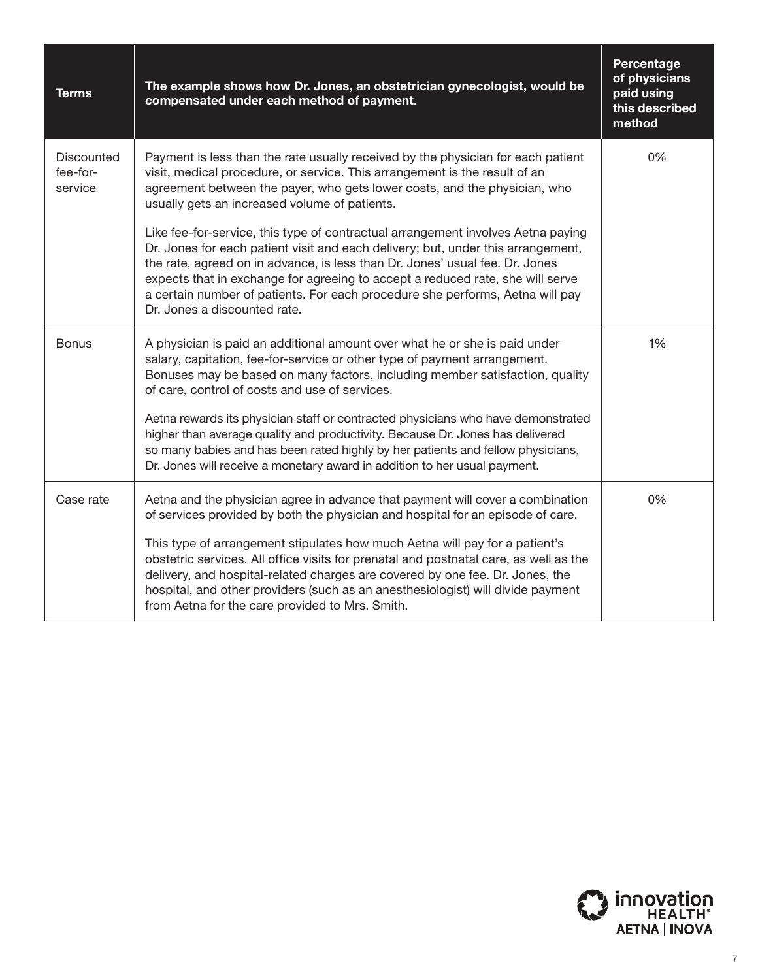| <b>Terms</b>                             | The example shows how Dr. Jones, an obstetrician gynecologist, would be<br>compensated under each method of payment.                                                                                                                                                                                                                                                                                                                                    | Percentage<br>of physicians<br>paid using<br>this described<br>method |
|------------------------------------------|---------------------------------------------------------------------------------------------------------------------------------------------------------------------------------------------------------------------------------------------------------------------------------------------------------------------------------------------------------------------------------------------------------------------------------------------------------|-----------------------------------------------------------------------|
| <b>Discounted</b><br>fee-for-<br>service | Payment is less than the rate usually received by the physician for each patient<br>visit, medical procedure, or service. This arrangement is the result of an<br>agreement between the payer, who gets lower costs, and the physician, who<br>usually gets an increased volume of patients.                                                                                                                                                            | 0%                                                                    |
|                                          | Like fee-for-service, this type of contractual arrangement involves Aetna paying<br>Dr. Jones for each patient visit and each delivery; but, under this arrangement,<br>the rate, agreed on in advance, is less than Dr. Jones' usual fee. Dr. Jones<br>expects that in exchange for agreeing to accept a reduced rate, she will serve<br>a certain number of patients. For each procedure she performs, Aetna will pay<br>Dr. Jones a discounted rate. |                                                                       |
| <b>Bonus</b>                             | A physician is paid an additional amount over what he or she is paid under<br>salary, capitation, fee-for-service or other type of payment arrangement.<br>Bonuses may be based on many factors, including member satisfaction, quality<br>of care, control of costs and use of services.                                                                                                                                                               | 1%                                                                    |
|                                          | Aetna rewards its physician staff or contracted physicians who have demonstrated<br>higher than average quality and productivity. Because Dr. Jones has delivered<br>so many babies and has been rated highly by her patients and fellow physicians,<br>Dr. Jones will receive a monetary award in addition to her usual payment.                                                                                                                       |                                                                       |
| Case rate                                | Aetna and the physician agree in advance that payment will cover a combination<br>of services provided by both the physician and hospital for an episode of care.                                                                                                                                                                                                                                                                                       | 0%                                                                    |
|                                          | This type of arrangement stipulates how much Aetna will pay for a patient's<br>obstetric services. All office visits for prenatal and postnatal care, as well as the<br>delivery, and hospital-related charges are covered by one fee. Dr. Jones, the<br>hospital, and other providers (such as an anesthesiologist) will divide payment<br>from Aetna for the care provided to Mrs. Smith.                                                             |                                                                       |

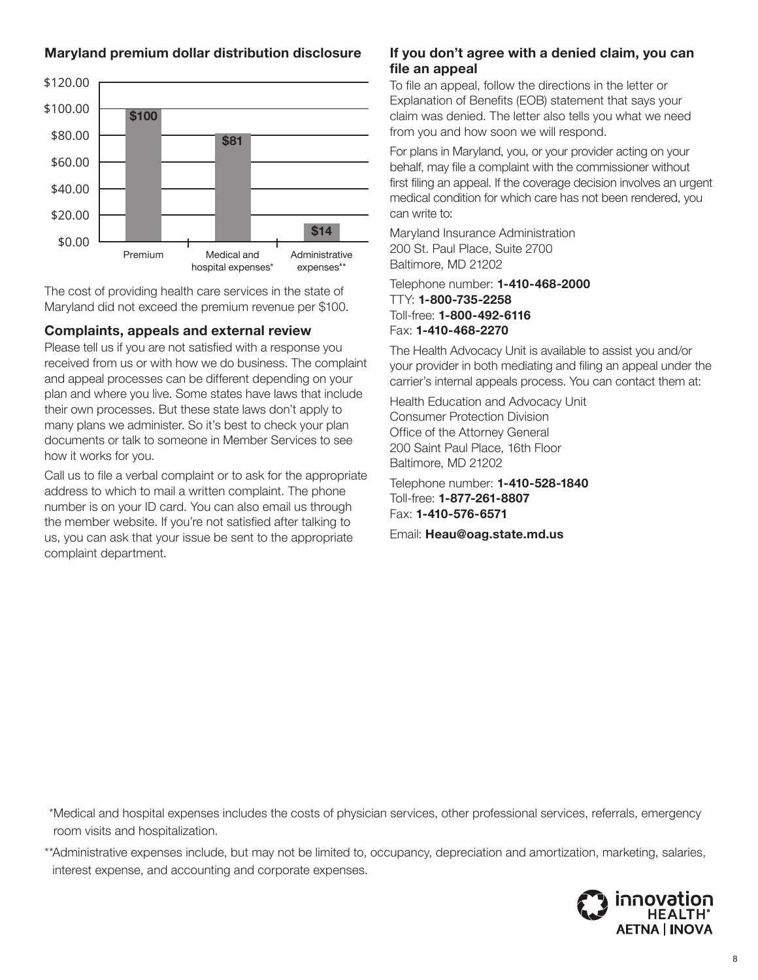### **Maryland premium dollar distribution disclosure**



The cost of providing health care services in the state of Maryland did not exceed the premium revenue per \$100.

#### **Complaints, appeals and external review**

Please tell us if you are not satisfied with a response you received from us or with how we do business. The complaint and appeal processes can be different depending on your plan and where you live. Some states have laws that include their own processes. But these state laws don't apply to many plans we administer. So it's best to check your plan documents or talk to someone in Member Services to see how it works for you.

Call us to file a verbal complaint or to ask for the appropriate address to which to mail a written complaint. The phone number is on your ID card. You can also email us through the member website. If you're not satisfied after talking to us, you can ask that your issue be sent to the appropriate complaint department.

#### **If you don't agree with a denied claim, you can file an appeal**

To file an appeal, follow the directions in the letter or Explanation of Benefits (EOB) statement that says your claim was denied. The letter also tells you what we need from you and how soon we will respond.

For plans in Maryland, you, or your provider acting on your behalf, may file a complaint with the commissioner without first filing an appeal. If the coverage decision involves an urgent medical condition for which care has not been rendered, you can write to:

Maryland Insurance Administration 200 St. Paul Place, Suite 2700 Baltimore, MD 21202

Telephone number: **1-410-468-2000** TTY: **1-800-735-2258** Toll-free: **1-800-492-6116** Fax: **1-410-468-2270**

The Health Advocacy Unit is available to assist you and/or your provider in both mediating and filing an appeal under the carrier's internal appeals process. You can contact them at:

Health Education and Advocacy Unit Consumer Protection Division Office of the Attorney General 200 Saint Paul Place, 16th Floor Baltimore, MD 21202

Telephone number: **1-410-528-1840** Toll-free: **1-877-261-8807** Fax: **1-410-576-6571**

Email: **[Heau@oag.state.md.us](mailto:Heau%40oag.state.md.us?subject=)**

\* Medical and hospital expenses includes the costs of physician services, other professional services, referrals, emergency room visits and hospitalization.

\*\* Administrative expenses include, but may not be limited to, occupancy, depreciation and amortization, marketing, salaries, interest expense, and accounting and corporate expenses.

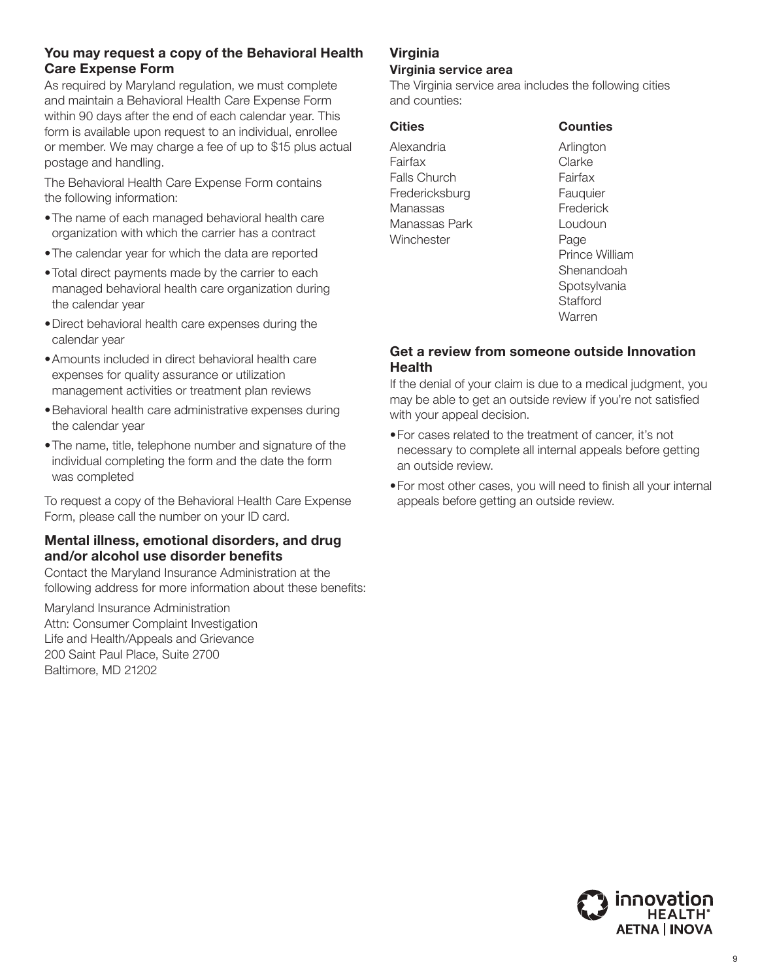### <span id="page-8-0"></span>**You may request a copy of the Behavioral Health Care Expense Form**

As required by Maryland regulation, we must complete and maintain a Behavioral Health Care Expense Form within 90 days after the end of each calendar year. This form is available upon request to an individual, enrollee or member. We may charge a fee of up to \$15 plus actual postage and handling.

The Behavioral Health Care Expense Form contains the following information:

- The name of each managed behavioral health care organization with which the carrier has a contract
- The calendar year for which the data are reported
- Total direct payments made by the carrier to each managed behavioral health care organization during the calendar year
- Direct behavioral health care expenses during the calendar year
- Amounts included in direct behavioral health care expenses for quality assurance or utilization management activities or treatment plan reviews
- Behavioral health care administrative expenses during the calendar year
- The name, title, telephone number and signature of the individual completing the form and the date the form was completed

To request a copy of the Behavioral Health Care Expense Form, please call the number on your ID card.

#### **Mental illness, emotional disorders, and drug and/or alcohol use disorder benefits**

Contact the Maryland Insurance Administration at the following address for more information about these benefits:

Maryland Insurance Administration Attn: Consumer Complaint Investigation Life and Health/Appeals and Grievance 200 Saint Paul Place, Suite 2700 Baltimore, MD 21202

## **Virginia**

#### **Virginia service area**

The Virginia service area includes the following cities and counties:

| <b>Cities</b>  | <b>Counties</b> |
|----------------|-----------------|
| Alexandria     | Arlington       |
| Fairfax        | Clarke          |
| Falls Church   | Fairfax         |
| Fredericksburg | Fauquier        |
| Manassas       | Frederick       |
| Manassas Park  | Loudoun         |
| Winchester     | Page            |
|                | Prince William  |
|                | Shenandoah      |
|                | Spotsylvania    |

# **Get a review from someone outside Innovation Health**

**Stafford** Warren

If the denial of your claim is due to a medical judgment, you may be able to get an outside review if you're not satisfied with your appeal decision.

- For cases related to the treatment of cancer, it's not necessary to complete all internal appeals before getting an outside review.
- •For most other cases, you will need to finish all your internal appeals before getting an outside review.

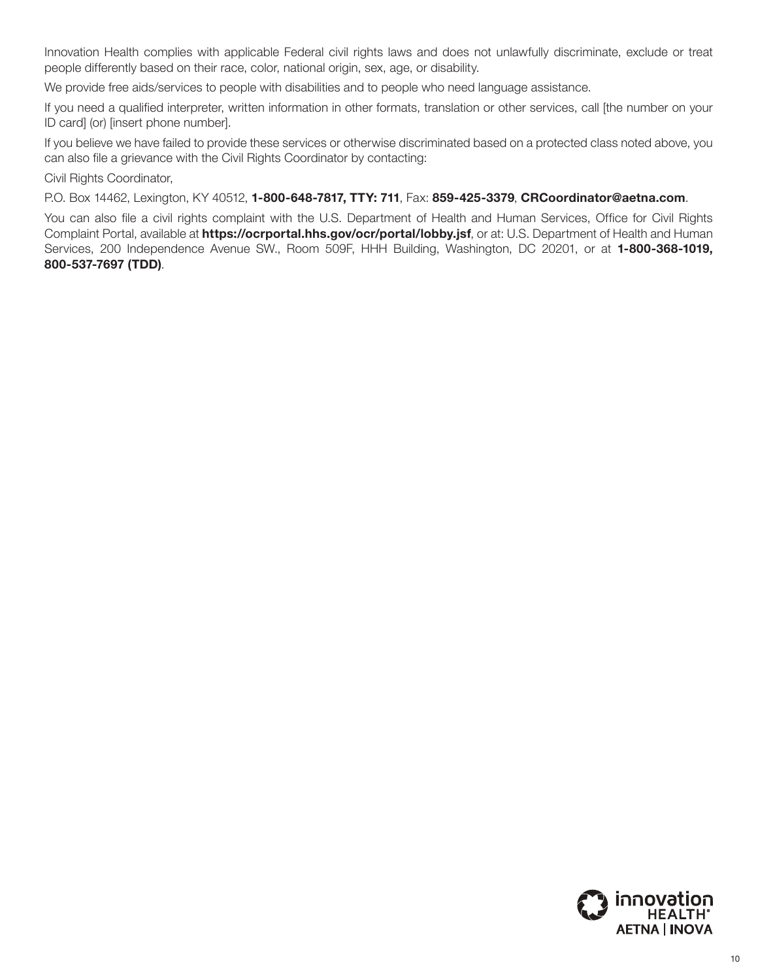Innovation Health complies with applicable Federal civil rights laws and does not unlawfully discriminate, exclude or treat people differently based on their race, color, national origin, sex, age, or disability.

We provide free aids/services to people with disabilities and to people who need language assistance.

If you need a qualified interpreter, written information in other formats, translation or other services, call [the number on your ID card] (or) [insert phone number].

If you believe we have failed to provide these services or otherwise discriminated based on a protected class noted above, you can also file a grievance with the Civil Rights Coordinator by contacting:

Civil Rights Coordinator,

P.O. Box 14462, Lexington, KY 40512, **1-800-648-7817, TTY: 711**, Fax: **859-425-3379**, **[CRCoordinator@aetna.com](mailto:CRCoordinator%40aetna.com?subject=)**.

You can also file a civil rights complaint with the U.S. Department of Health and Human Services, Office for Civil Rights Complaint Portal, available at **<https://ocrportal.hhs.gov/ocr/portal/lobby.jsf>**, or at: U.S. Department of Health and Human Services, 200 Independence Avenue SW., Room 509F, HHH Building, Washington, DC 20201, or at **1-800-368-1019, 800-537-7697 (TDD)**.